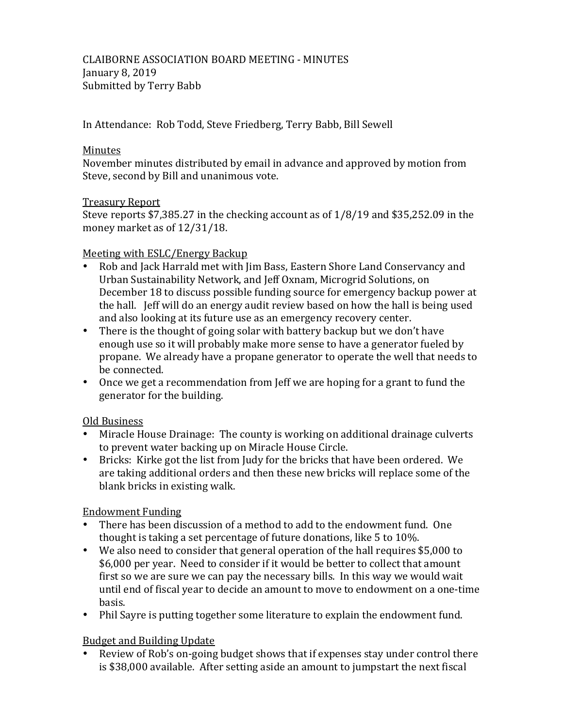In Attendance: Rob Todd, Steve Friedberg, Terry Babb, Bill Sewell

### **Minutes**

November minutes distributed by email in advance and approved by motion from Steve, second by Bill and unanimous vote.

### **Treasury Report**

Steve reports  $$7,385.27$  in the checking account as of  $1/8/19$  and  $$35,252.09$  in the money market as of 12/31/18.

## Meeting with ESLC/Energy Backup

- Rob and Jack Harrald met with Jim Bass, Eastern Shore Land Conservancy and Urban Sustainability Network, and Jeff Oxnam, Microgrid Solutions, on December 18 to discuss possible funding source for emergency backup power at the hall. Jeff will do an energy audit review based on how the hall is being used and also looking at its future use as an emergency recovery center.
- There is the thought of going solar with battery backup but we don't have enough use so it will probably make more sense to have a generator fueled by propane. We already have a propane generator to operate the well that needs to be connected.
- Once we get a recommendation from Jeff we are hoping for a grant to fund the generator for the building.

## Old Business

- Miracle House Drainage: The county is working on additional drainage culverts to prevent water backing up on Miracle House Circle.
- Bricks: Kirke got the list from Judy for the bricks that have been ordered. We are taking additional orders and then these new bricks will replace some of the blank bricks in existing walk.

# **Endowment Funding**

- There has been discussion of a method to add to the endowment fund. One thought is taking a set percentage of future donations, like  $5$  to  $10\%$ .
- We also need to consider that general operation of the hall requires \$5,000 to \$6,000 per year. Need to consider if it would be better to collect that amount first so we are sure we can pay the necessary bills. In this way we would wait until end of fiscal year to decide an amount to move to endowment on a one-time basis.
- Phil Sayre is putting together some literature to explain the endowment fund.

# **Budget and Building Update**

• Review of Rob's on-going budget shows that if expenses stay under control there is \$38,000 available. After setting aside an amount to jumpstart the next fiscal